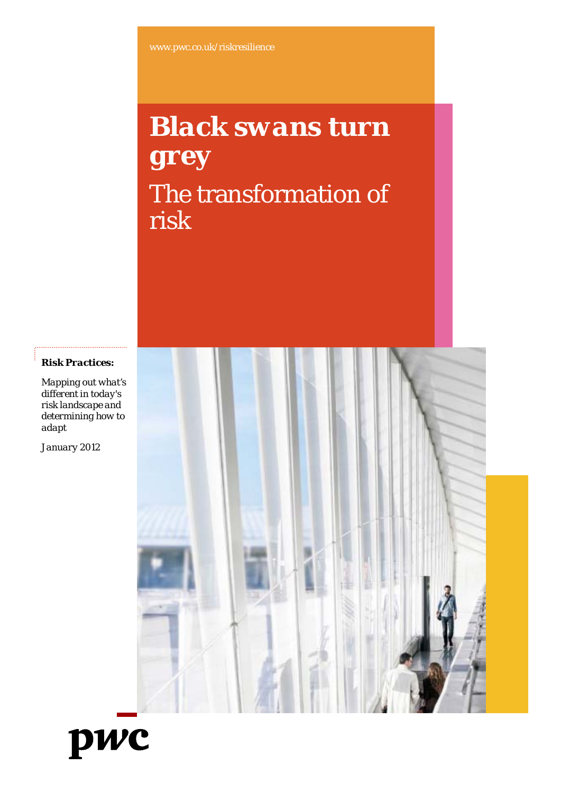# *Black swa ans turn grey* The transformation of risk

*Risk Practices:*

*Mapping out what's different in today's risk landscape and determining how to adapt* 

*January 2012*



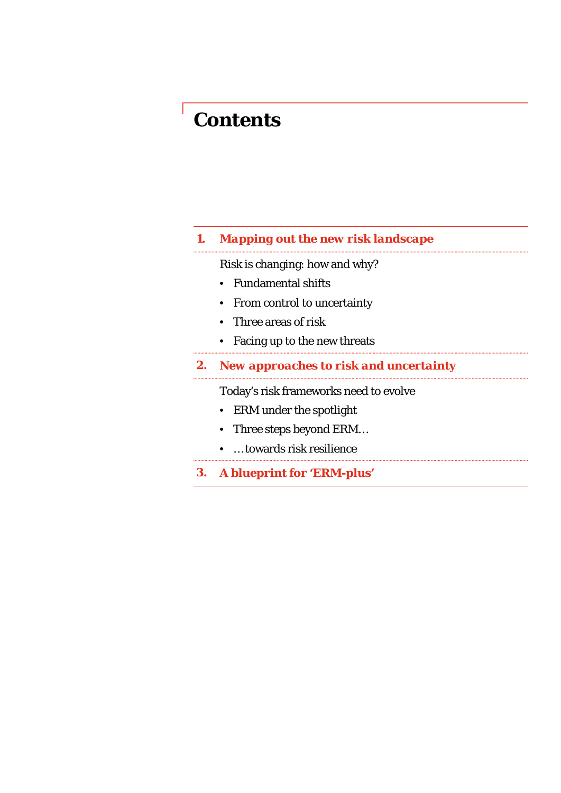## *Contents*

# *1. Mapping o sout the new risk landscape*

Risk is changing: how and why?

- Fundamental shifts
- From control to uncertainty
- Three areas of risk
- Facing up to the new threats
- **2.** New approaches to risk and uncertainty

Today's risk frameworks need to evolve

- ERM under the spotlight
- Three steps beyond ERM...
- … toward s risk resilience
- **3.** *A blueprint for 'ERM-plus'*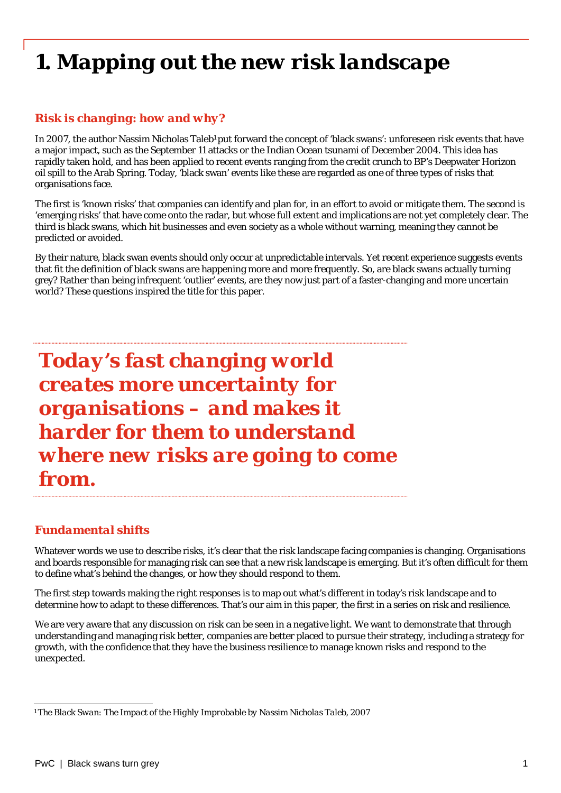## *1. Mapping out the new risk landscape*

#### *Risk is changing: how and why?*

In 2007, the author Nassim Nicholas Taleb<sup>1</sup> put forward the concept of 'black swans': unforeseen risk events that have a major impact, such as the September 11 attacks or the Ind dian Ocean tsunami of December 2004. This idea has rapidly taken hold, and has been applied to recent events ranging from the credit crunch to BP's Deepwater Horizon oil spill to the Arab Spring. Today, 'black swan' events like these are regarded as one of three types of risks that organisations face.

The first is 'known risks' that companies can identify and plan for, in an effort to avoid or mitigate them. The second is 'emerging risks' that have come onto the radar, but whose full extent and implications are not yet completely clear. The third is black swans, which hit businesses and even society as a whole without warning, meaning they cannot be predicted or avoided.

By their nature, black swan events should only occur at unpredictable intervals. Yet recent experience suggests events that fit the definition of black swans are happening more and more frequently. So, are black swans actually turning grey? Rather than being infrequent 'outlier' events, are they now just part of a faster-changing and more uncertain world? These questions inspired the title for this paper.

*Today's fast changing w world creates more uncertain ty for organisations – and makes it harder for them to understand where new risks are goi ing to come from.*

#### *F d t l hift Fundamental shifts*

Whatever words we use to describe risks, it's clear that the risk landscape facing companies is changing. Organisations and boards responsible for managing risk can see that a new risk landscape is emerging. But it's often difficult for them to define what's behind the changes, or how they should respond to them.

The first step towards making the right responses is to map out what's different in today's risk landscape and to determine how to adapt to these differences. That's our aim in this paper, the first in a series on risk and resilience.

We are very aware that any discussion on risk can be seen in a negative light. We want to demonstrate that through understanding and managing risk better, companies are better placed to pursue their strategy, including a strategy for growth, with the confidence that they have the business resi ilience to manage known risks and respond to the unexpected.

*<sup>1</sup> The Black Swan: The Impact of the Highly Improbable by Nassi im Nicholas Taleb, 2007*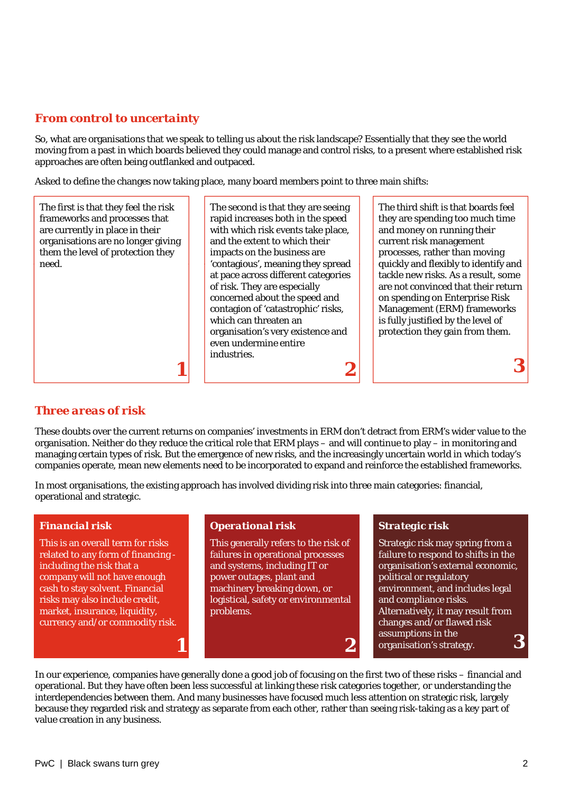#### *From control to uncertainty*

So, what are organisations that we speak to telling us about the risk landscape? Essentially that they see the world moving from a past in which boards believed they could manage and control risks, to a present where established risk approaches are often being outflanked and outpaced.

Asked to define the changes now taking place, many board members point to three main shifts:

| The first is that they feel the risk | The second is that they are seeing  | The third shift is that boards feel  |
|--------------------------------------|-------------------------------------|--------------------------------------|
| frameworks and processes that        | rapid increases both in the speed   | they are spending too much time      |
| are currently in place in their      | with which risk events take place,  | and money on running their           |
| organisations are no longer giving   | and the extent to which their       | current risk management              |
| them the level of protection they    | impacts on the business are         | processes, rather than moving        |
| need.                                | 'contagious', meaning they spread   | quickly and flexibly to identify and |
|                                      | at pace across different categories | tackle new risks. As a result, some  |
|                                      | of risk. They are especially        | are not convinced that their return  |
|                                      | concerned about the speed and       | on spending on Enterprise Risk       |
|                                      | contagion of 'catastrophic' risks,  | Management (ERM) frameworks          |
|                                      | which can threaten an               | is fully justified by the level of   |
|                                      | organisation's very existence and   | protection they gain from them.      |
|                                      | even undermine entire               |                                      |
|                                      | industries.                         |                                      |
|                                      |                                     |                                      |
|                                      |                                     |                                      |

#### *Three areas of risk*

These doubts over the current returns on companies' investments in ERM don't detract from ERM's wider value to the isation. Neither do they reduce the critical role that ERM plays – and will continue to play – in monitoring and organisation. Neither do they reduce the critical role that ERM plays – and will continue to play – in monitoring and<br>managing certain types of risk. But the emergence of new risks, and the increasingly uncertain world in companies operate, mean new elements need to be incorporated to expand and reinforce the established frameworks.

In most organisations, the existing approach has involved d dividing risk into three main categories: financial, operational and strategic.

This is an overall term for risks related to any form of financing including the risk that a company will not have enough cash to stay solvent. Financial risks may also include credit, market, insurance, liquidity, currency and/or commodity risk.

*1*

#### *Financial risk Operational r*

This generally refers to the risk of failures in operational processes and systems, including IT or power outages, p lant and machinery breaking down, or logistical, safety or environmental problems.

#### *risk Strategic risk*

Strategic risk may spring from a failure to respond to shifts in the organisation's external economic, political or regulatory environment, and includes legal and compliance risks. Alternatively, it may result from changes and/or flawed risk assumptions in the *2* organisation's strategy. *3*

In our experience, companies have generally done a good job of focusing on the first two of these risks – financial and operational. But they have often been less successful at link king these risk categories together, or understanding the interdependencies between them. And many businesses have focused much less attention on strategic risk, largely because they regarded risk and strategy as separate from each other, rather than seeing risk-taking as a key part of value creation in any business.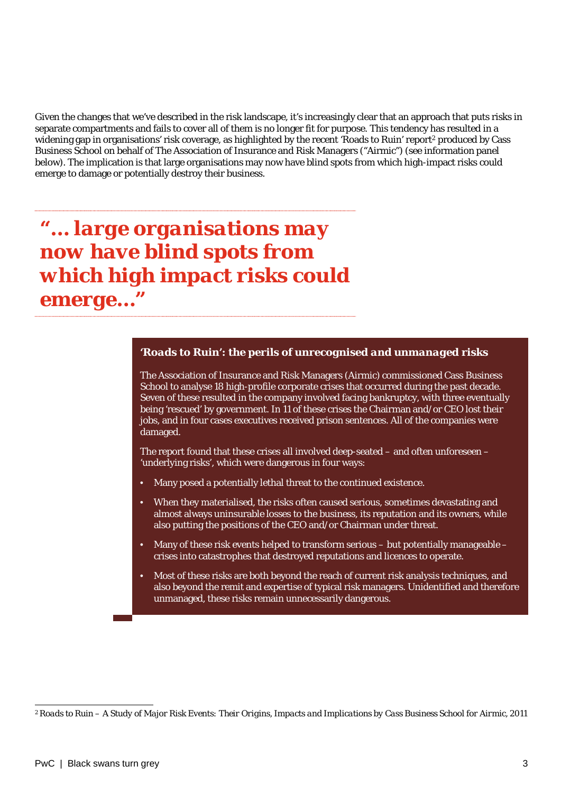Given the changes that we've described in the risk landscape, it's increasingly clear that an approach that puts risks in separate compartments and fails to cover all of them is no longer fit for purpose. This tendency has resulted in a widening gap in organisations' risk coverage, as highlighted by the recent 'Roads to Ruin' report<sup>2</sup> produced by Cass Business School on behalf of The Association of Insurance a and Risk Managers ("Airmic") (see information panel below). The implication is that large organisations may now have blind spots from which high-impact risks could emerge to damage or potentially destroy their business.

*"… large organisations may now have blind spots fr rom which high impact risks s could emerge…"*

#### *'Roads to Ruin': the perils of unrecognised and unmanaged risks*

The Association of Insurance and Risk Managers (Airmic) commissioned Cass Business School to analyse 18 high-profile c corporate crises that occurred during the past decade. Seven of these resulted in the company involved facing bankruptcy, with three eventually being 'rescued' by government. In 11 of these crises the Chairman and/or CEO lost their jobs, and in four cases executives received prison sentences. All of the companies were damaged.

The report found that these crises all involved deep-seated – and often unforeseen – 'underlying risks', which were dangerous in four ways:

- Many posed a potentially lethal threat to the continued existence.
- When they materialised, the risks often caused serious, sometimes devastating and almost always uninsurable loss ses to the business, its reputation and its owners, while also putting the positions of the CEO and/or Chairman under threat.
- $\;$  Many of these risk events helped to transform serious but potentially manageable crises into catastrophes that destroyed reputations and licences to operate.
- Most of these risks are both beyond the reach of current risk analysis techniques, and also beyond the remit and expertise of typical risk managers. Unidentified and therefore unmanaged, these risks remain n unnecessarily dangerous.

*<sup>2</sup> Roads to Ruin – A Study of Major Risk Events: Their Origins, Im mpacts and Implications by Cass Business School for Airmic, 2011*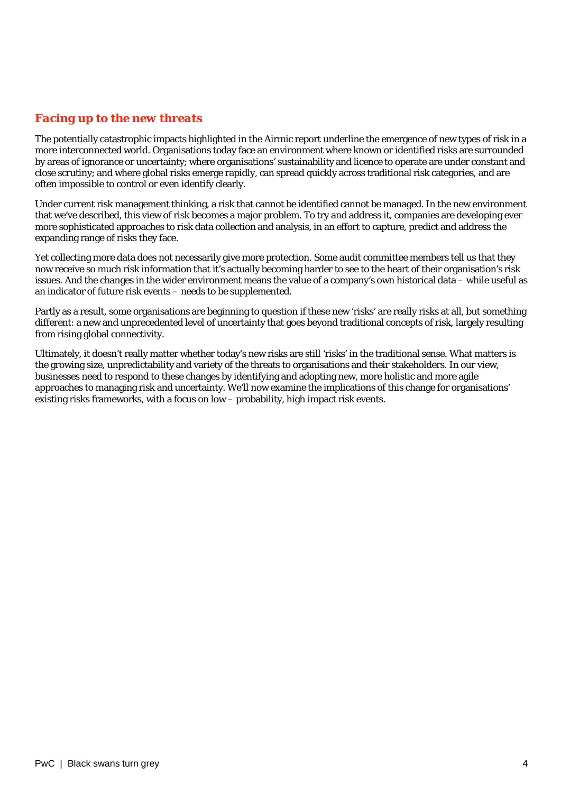#### *Facing up to the new threats*

The potentially catastrophic impacts highlighted in the Airmic report underline the emergence of new types of risk in a more interconnected world. Organisations today face an environment where known or identified risks are surrounded by areas of ignorance or uncertainty; where organisations' sustainability and licence to operate are under constant and close scrutiny; and where global risks emerge rapidly, can s pread quickly across traditional risk categories, and are often impossible to control or even identify clearly.

Under current risk management thinking, a risk that cannot be identified cannot be managed. In the new environment that we've described, this view of risk becomes a major prob blem. To try and address it, companies are developing ever more sophisticated approaches to risk data collection and a nalysis, in an effort to capture, predict and address the expanding range of risks they face.

Yet collecting more data does not necessarily give more protection. Some audit committee members tell us that they now receive so much risk information that it's actually becoming harder to see to the heart of their organisation's risk issues. And the changes in the wider environment means the value of a company's own historical data – while useful as an indicator of future risk events – needs to be supplemented.

Partly as a result, some organisations are beginning to question if these new 'risks' are really risks at all, but something different: a new and unprecedented level of uncertainty that goes beyond traditional concepts of risk, largely resulting from rising global connectivity.

Ultimately, it doesn't really matter whether today's new risks are still 'risks' in the traditional sense. What matters is the growing size, unpredictability and variety of the threats to organisations and their stakeholders. In our view, businesses need to respond to these changes by identifying and adopting new, more holistic and more agile approaches to managing risk and uncertainty. We'll now examine the implications of this change for organisations' existing risks frameworks, with a focus on low – probability, high impact risk events.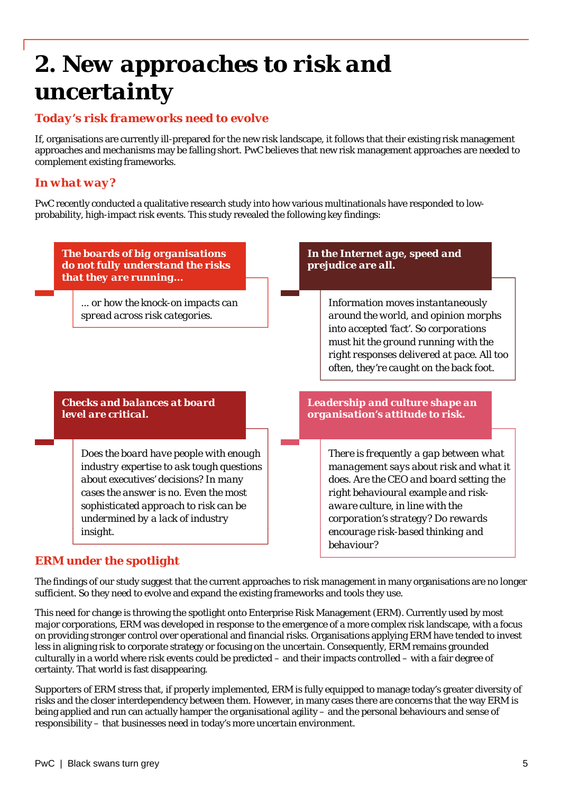## **2. New approaches to risk and** *uncertainty*

#### *Today's risk frameworks need to evolve*

If, organisations are currently ill-prepared for the new risk l landscape, it follows that their existing risk management approaches and mechanisms may be falling short. PwC beli eves that new risk management approaches are needed to complement existing frameworks.

#### *In what way?*

PwC recently conducted a qualitative research study into how various multinationals have responded to lowprobability, high-impact risk events. This study revealed the following key findings:



#### *ERM under the spotlight*

The findings of our study suggest that the current approaches to risk management in many organisations are no longer sufficient. So they need to evolve and expand the existing frameworks and tools they use.

This need for change is throwing the spotlight onto Enterprise Risk Management (ERM). Currently used by most major corporations, ERM was developed in response to the emergence of a more complex risk landscape, with a focus on providing stronger control over operational and financial risks. Organisations applying ERM have tended to invest less in aligning risk to corporate strategy or focusing on the uncertain. Consequently, ERM remains grounded culturally in a world where risk events could be predicted – and their impacts controlled – with a fair degree of certainty. That world is fast disappearing.

Supporters of ERM stress that, if properly implemented, ERM is fully equipped to manage today's greater diversity of risks and the closer interdependency between them. However, in many cases there are concerns that the way ERM is being applied and run can actually hamper the organisational agility – and the personal behaviours and sense of responsibility – that businesses need in today's more uncert tain environment.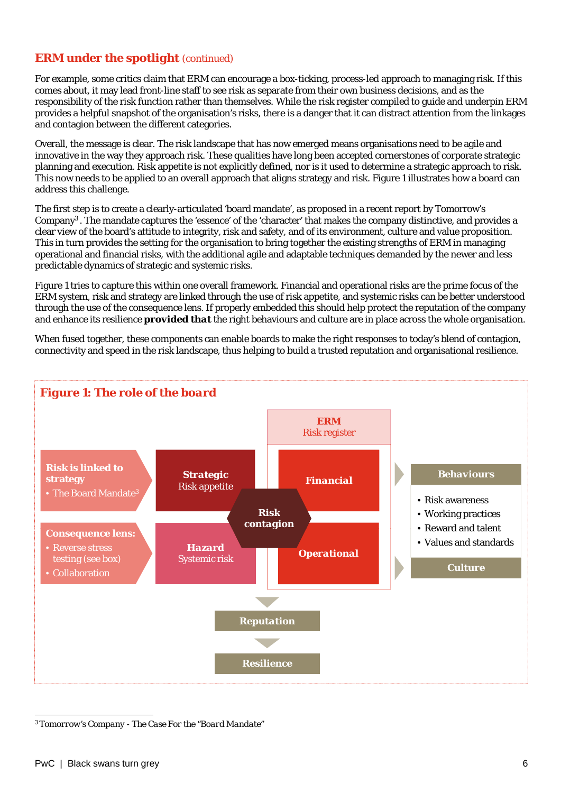#### *ERM under the spotlight (continued)*

For example, some critics claim that ERM can encourage a box-ticking, process-led approach to managing risk. If this comes about, it may lead front-line staff to see risk as separate from their own business decisions, and as the responsibility of the risk function rather than themselves. W While the risk register compiled to guide and underpin ERM provides a helpful snapshot of the organisation's risks, ther e is a danger that it can distract attention from the linkages and contagion between the different categories.

Overall, the message is clear. The risk landscape that has now emerged means organisations need to be agile and innovative in the way they approach risk. These qualities have long been accepted cornerstones of corporate strategic planning and execution. Risk appetite is not explicitly defin ed, nor is it used to determine a strategic approach to risk. This now needs to be applied to an overall approach that aligns strategy and risk. Figure 1 illustrates how a board can address this challenge.

The first step is to create a clearly-articulated 'board mandate', as proposed in a recent report by Tomorrow's Company<sup>3</sup>. The mandate captures the 'essence' of the 'character' that makes the company distinctive, and provides a clear view of the board's attitude to integrity, risk and safety, and of its environment, culture and value proposition. This in turn provides the setting for the organisation to bring together the existing strengths of ERM in managing operational and financial risks, with the additional agile and adaptable techniques demanded by the newer and less predictable dynamics of strategic and systemic risks.

Figure 1 tries to capture this within one overall framework. Financial and operational risks are the prime focus of the ERM system, risk and strategy are linked through the use o f risk appetite, and systemic risks can be better understood through the use of the consequence lens. If properly embedded this should help protect the reputation of the company and enhance its resilience *provided that* the right behaviours and culture are in place across the whole organisation.

When fused together, these components can enable boards to make the right responses to today's blend of contagion, connectivity and speed in the risk landscape, thus helping to build a trusted reputation and organisational resilience.



*<sup>3</sup> Tomorrow's Company - The Case For the "Board Mandate"*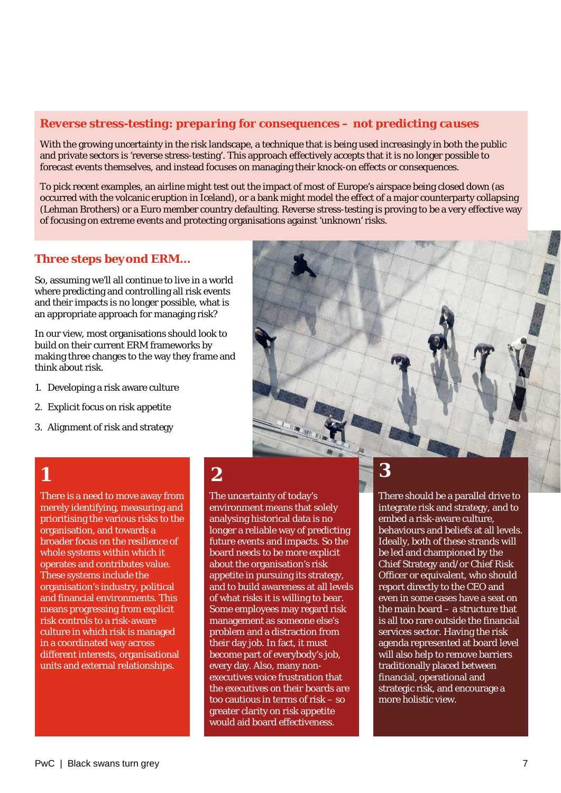#### *Reverse stress-testing: preparing for cons sequences – not predicting causes*

With the growing uncertainty in the risk landscape, a technique that is being used increasingly in both the public and private sectors is 'reverse stress-testing'. This approach effectively accepts that it is no longer possible to forecast events themselves, and instead focuses on managing their knock-on effects or consequences.

To pick recent examples, an airline might test out the impact of most of Europe's airspace being closed down (as occurred with the volcanic eruption in Iceland), or a bank might model the effect of a major counterparty collapsing (Lehman Brothers) or a Euro member country defaulting. Reverse stress-testing is proving to be a very effective way of focusing on extreme events and protecting organisations against 'unknown' risks.

#### *Three steps beyond ERM...*

So, assuming we'll all continue to live in a world where predicting and controlling all risk events and their impacts is no longer possible, what is an appropriate approach for managing risk?

In our view, most organisations should look to build on their current ERM frameworks by making three changes to the way they frame and think about risk.

- 1. Developing a risk aware culture
- 2. Explicit focus on risk appetite
- 3. Alignment of risk and strategy



There is a need to move away from merely identifying, measuring and prioritising the various risks to the organisation, and towards a broader focus on the resilience of whole systems within which it operates and contributes value. These systems include the organisation's industry, political and financial environments. This means progressing from explicit risk controls to a risk-aware culture in which risk is managed in a coordinated way across different interests, organisational units and external relationships.

## *1 2*

The uncertainty of today's environment means that solely analysing historical data is no longer a reliable way of predicting future events and impacts. So the board needs to be more explicit about the organisation's risk appetite in pursu ing its strategy, and to build awareness at all levels of what risks it is willing to bear. Some employees may regard risk management as s someone else's problem and a distraction from their day job. In f fact, it must become part of everybody's job, every day. Also, many nonexecutives voice frustration that the executives on their boards are too cautious in te rms of risk – so greater clarity on risk appetite would aid board e effectiveness.

*3*

There should be a parallel drive to integrate risk and strategy, and to embed a risk-aware culture, behaviours and beliefs at all levels. Ideally, both of these strands will be led and championed by the Chief Strategy and/or Chief Risk Officer or equivalent, who should report directly to the CEO and even in some cases have a seat on the main board – a structure that is all too rare outside the financial services sector. Having the risk agenda represented at board level will also help to remove barriers traditionally placed between financial, operational and strategic risk, and encourage a more holistic view.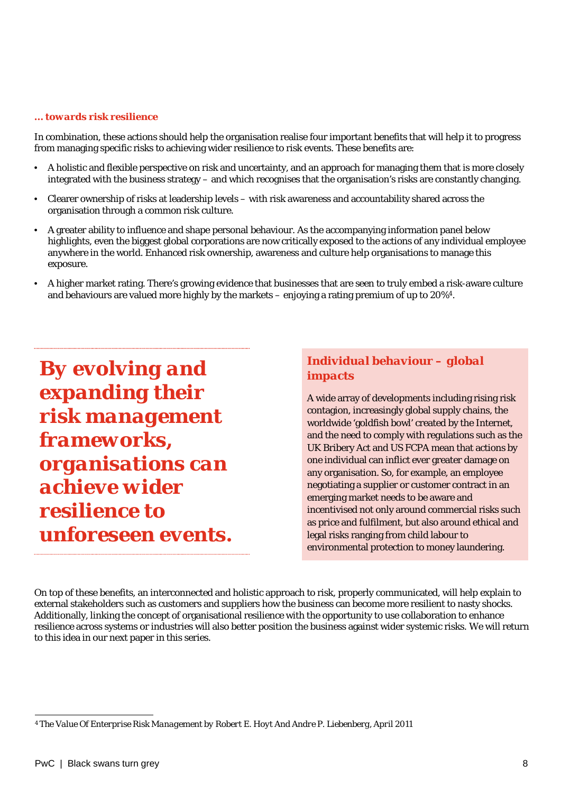#### *… towards risk resilience*

In combination, these actions should help the organisation realise four important benefits that will help it to progress from managing specific risks to achieving wider resilience to risk events. These benefits are:

- A holistic and flexible perspective on risk and uncertainty, and an approach for managing them that is more closely integrated with the business strategy – and which recognises that the organisation's risks are constantly changing.
- Clearer ownership of risks at leadership levels with risk k awareness and accountability shared across the organisation through a common risk culture.
- A greater ability to influence and shape personal behaviour. As the accompanying information panel below highlights, even the biggest global corporations are now critically exposed to the actions of any individual employee anywhere in the world. Enhanced risk ownership, awareness and culture help organisations to manage this exposure.
- A higher market rating. There's growing evidence that businesses that are seen to truly embed a risk-aware culture and behaviours are valued more highly by the markets – enjoying a rating premium of up to 20%4.

*By evolving and expanding their risk management frameworks frameworks, organisations can achieve wider resilience to f unforeseen events.*

#### *Individual behaviour – global impacts*

A wide array of developments including rising risk contagion, increasingly global supply chains, the worldwide 'goldfish bowl' created by the Internet, and the need to comply with regulations such as the UK Bribery Act and US FCPA mean that actions by one individual can inflict ever greater damage on any organisation. So, for example, an employee negotiating a supplier or customer contract in an emerging market needs to be aware and incentivised not only around commercial risks such as price and fulfilment, but also around ethical and legal risks ranging from child labour to environmental protection to money laundering.

On top of these benefits, an interconnected and holistic approach to risk, properly communicated, will help explain to external stakeholders such as customers and suppliers how the business can become more resilient to nasty shocks. Additionally, linking the concept of organisational resilience with the opportunity to use collaboration to enhance Additionally, linking the concept of organisational resilience with the opportunity to use collaboration to enhance<br>resilience across systems or industries will also better position the business against wider systemic risk to this idea in our next paper in this series.

*<sup>4</sup> The Value Of Enterprise Risk Management by Robert E. Hoyt A nd Andre P. Liebenberg, April 2011*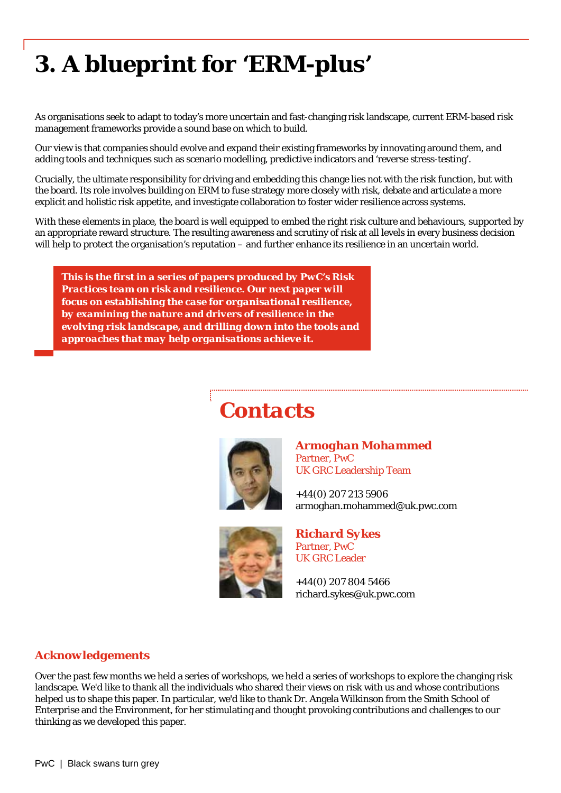## *3. A blueprint for 'ER RM-plus'*

As organisations seek to adapt to today's more uncertain and fast-changing risk landscape, current ERM-based risk management frameworks provide a sound base on which to build.

Our view is that companies should evolve and expand their existing frameworks by innovating around them, and adding tools and techniques such as scenario modelling, predictive indicators and 'reverse stress-testing'.

Crucially, the ultimate responsibility for driving and embedding this change lies not with the risk function, but with the board. Its role involves building on ERM to fuse strategy more closely with risk, debate and articulate a more explicit and holistic risk appetite, and investigate collaboration to foster wider resilience across systems.

With these elements in place, the board is well equipped to embed the right risk culture and behaviours, supported by an appropriate reward structure. The resulting awareness and scrutiny of risk at all levels in every business decision will help to protect the organisation's reputation – and further enhance its resilience in an uncertain world.

*This is the first in a series of papers produced d by PwC's Risk Practices team on risk and resilience. Our next paper will focus on establishing the case for organisational resilience,* by examining the nature and drivers of resilience in the *evolving risk landscape, and drilling down in nto the tools and approaches that may help organisations ach hieve it.*

## $$



*Armoghan Mohammed* Partner, PwC UK GRC Leadership Team

+44(0) 207 213 5906 armoghan.mohammed@uk.pwc.com



*Richard Sykes* Partner, PwC UK GRC Leader

+44(0) 207 804 5466 richard.sykes@uk.pwc.com

#### *Acknowledgements*

Over the past few months we held a series of workshops, we held a series of workshops to explore the changing risk landscape. We'd like to thank all the individuals who shared their views on risk with us and whose contributions helped us to shape this paper. In particular, we'd like to thank Dr. Angela Wilkinson from the Smith School of Enterprise and the Environment, for her stimulating and th hought provoking contributions and challenges to our thinking as we developed this paper.